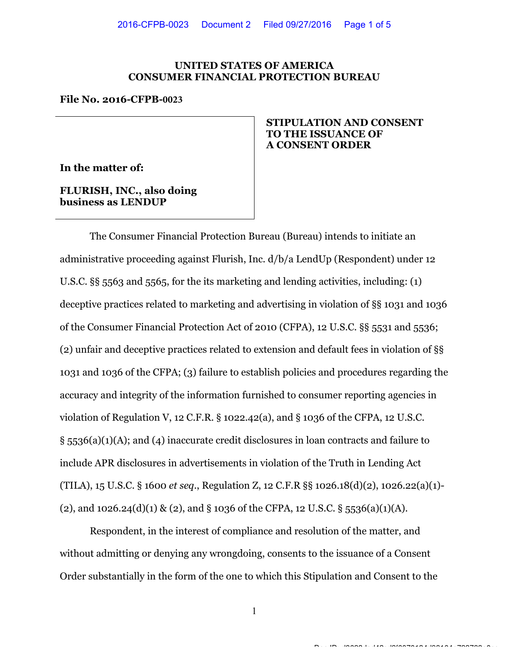### UNITED STATES OF AMERICA CONSUMER FINANCIAL PROTECTION BUREAU

#### File No. 2016-CFPB-**0023**

In the matter of:

FLURISH, INC., also doing business as LENDUP

## STIPULATION AND CONSENT TO THE ISSUANCE OF A CONSENT ORDER

The Consumer Financial Protection Bureau (Bureau) intends to initiate an administrative proceeding against Flurish, Inc. d/b/a LendUp (Respondent) under 12 U.S.C. §§ 5563 and 5565, for the its marketing and lending activities, including: (1) deceptive practices related to marketing and advertising in violation of §§ 1031 and 1036 of the Consumer Financial Protection Act of 2010 (CFPA), 12 U.S.C. §§ 5531 and 5536; (2) unfair and deceptive practices related to extension and default fees in violation of §§ 1031 and 1036 of the CFPA; (3) failure to establish policies and procedures regarding the accuracy and integrity of the information furnished to consumer reporting agencies in violation of Regulation V, 12 C.F.R. § 1022.42(a), and § 1036 of the CFPA, 12 U.S.C. § 5536(a)(1)(A); and (4) inaccurate credit disclosures in loan contracts and failure to include APR disclosures in advertisements in violation of the Truth in Lending Act (TILA), 15 U.S.C. § 1600 et seq., Regulation Z, 12 C.F.R §§ 1026.18(d)(2), 1026.22(a)(1)- (2), and  $1026.24(d)(1)$  & (2), and § 1036 of the CFPA, 12 U.S.C. § 5536(a)(1)(A).

Respondent, in the interest of compliance and resolution of the matter, and without admitting or denying any wrongdoing, consents to the issuance of a Consent Order substantially in the form of the one to which this Stipulation and Consent to the

1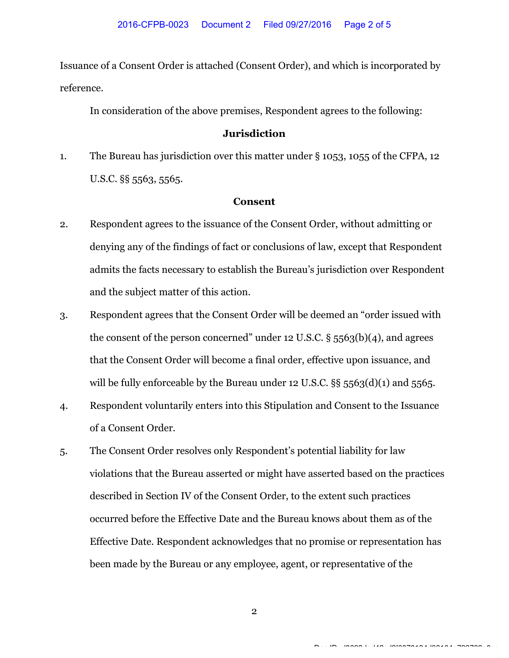Issuance of a Consent Order is attached (Consent Order), and which is incorporated by reference.

In consideration of the above premises, Respondent agrees to the following:

# Jurisdiction

1. The Bureau has jurisdiction over this matter under § 1053, 1055 of the CFPA, 12 U.S.C. §§ 5563, 5565.

## Consent

- 2. Respondent agrees to the issuance of the Consent Order, without admitting or denying any of the findings of fact or conclusions of law, except that Respondent admits the facts necessary to establish the Bureau's jurisdiction over Respondent and the subject matter of this action.
- 3. Respondent agrees that the Consent Order will be deemed an "order issued with the consent of the person concerned" under 12 U.S.C. § 5563(b)(4), and agrees that the Consent Order will become a final order, effective upon issuance, and will be fully enforceable by the Bureau under 12 U.S.C. §§ 5563(d)(1) and 5565.
- 4. Respondent voluntarily enters into this Stipulation and Consent to the Issuance of a Consent Order.
- 5. The Consent Order resolves only Respondent's potential liability for law violations that the Bureau asserted or might have asserted based on the practices described in Section IV of the Consent Order, to the extent such practices occurred before the Effective Date and the Bureau knows about them as of the Effective Date. Respondent acknowledges that no promise or representation has been made by the Bureau or any employee, agent, or representative of the

2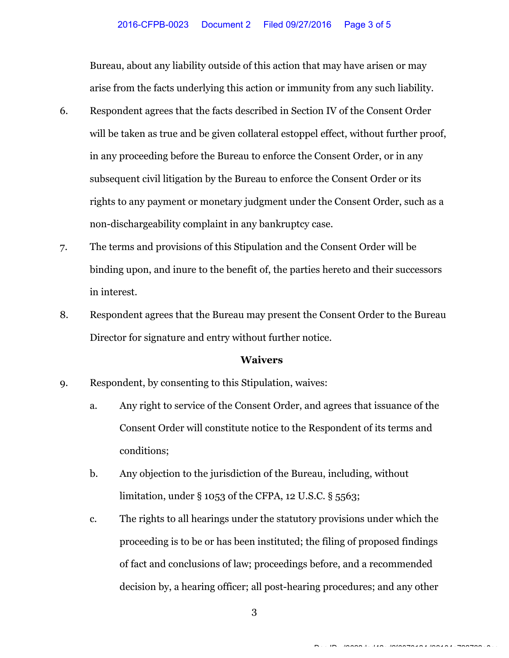Bureau, about any liability outside of this action that may have arisen or may arise from the facts underlying this action or immunity from any such liability.

- 6. Respondent agrees that the facts described in Section IV of the Consent Order will be taken as true and be given collateral estoppel effect, without further proof, in any proceeding before the Bureau to enforce the Consent Order, or in any subsequent civil litigation by the Bureau to enforce the Consent Order or its rights to any payment or monetary judgment under the Consent Order, such as a non-dischargeability complaint in any bankruptcy case.
- 7. The terms and provisions of this Stipulation and the Consent Order will be binding upon, and inure to the benefit of, the parties hereto and their successors in interest.
- 8. Respondent agrees that the Bureau may present the Consent Order to the Bureau Director for signature and entry without further notice.

## **Waivers**

- 9. Respondent, by consenting to this Stipulation, waives:
	- a. Any right to service of the Consent Order, and agrees that issuance of the Consent Order will constitute notice to the Respondent of its terms and conditions;
	- b. Any objection to the jurisdiction of the Bureau, including, without limitation, under § 1053 of the CFPA, 12 U.S.C. § 5563;
	- c. The rights to all hearings under the statutory provisions under which the proceeding is to be or has been instituted; the filing of proposed findings of fact and conclusions of law; proceedings before, and a recommended decision by, a hearing officer; all post-hearing procedures; and any other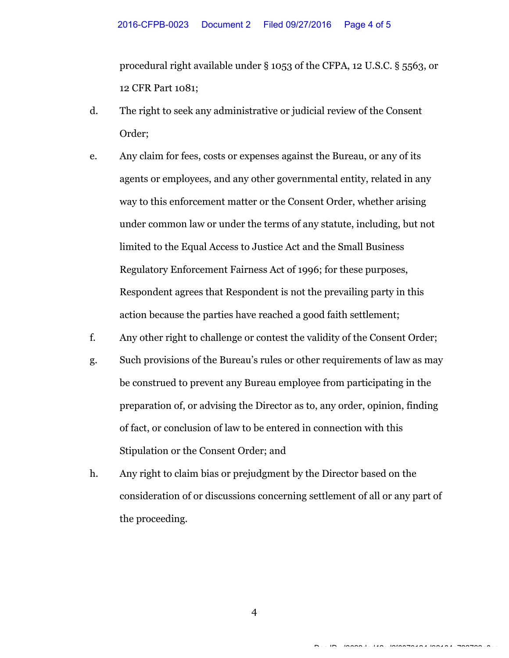procedural right available under § 1053 of the CFPA, 12 U.S.C. § 5563, or 12 CFR Part 1081;

- d. The right to seek any administrative or judicial review of the Consent Order;
- e. Any claim for fees, costs or expenses against the Bureau, or any of its agents or employees, and any other governmental entity, related in any way to this enforcement matter or the Consent Order, whether arising under common law or under the terms of any statute, including, but not limited to the Equal Access to Justice Act and the Small Business Regulatory Enforcement Fairness Act of 1996; for these purposes, Respondent agrees that Respondent is not the prevailing party in this action because the parties have reached a good faith settlement;
- f. Any other right to challenge or contest the validity of the Consent Order;
- g. Such provisions of the Bureau's rules or other requirements of law as may be construed to prevent any Bureau employee from participating in the preparation of, or advising the Director as to, any order, opinion, finding of fact, or conclusion of law to be entered in connection with this Stipulation or the Consent Order; and
- h. Any right to claim bias or prejudgment by the Director based on the consideration of or discussions concerning settlement of all or any part of the proceeding.

4